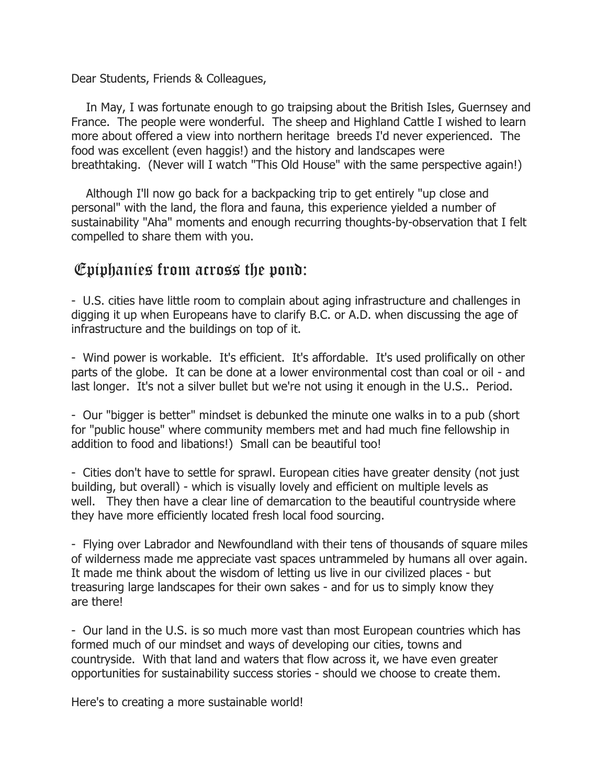Dear Students, Friends & Colleagues,

 In May, I was fortunate enough to go traipsing about the British Isles, Guernsey and France. The people were wonderful. The sheep and Highland Cattle I wished to learn more about offered a view into northern heritage breeds I'd never experienced. The food was excellent (even haggis!) and the history and landscapes were breathtaking. (Never will I watch "This Old House" with the same perspective again!)

 Although I'll now go back for a backpacking trip to get entirely "up close and personal" with the land, the flora and fauna, this experience yielded a number of sustainability "Aha" moments and enough recurring thoughts-by-observation that I felt compelled to share them with you.

## Epiphanies from across the pond:

- U.S. cities have little room to complain about aging infrastructure and challenges in digging it up when Europeans have to clarify B.C. or A.D. when discussing the age of infrastructure and the buildings on top of it.

- Wind power is workable. It's efficient. It's affordable. It's used prolifically on other parts of the globe. It can be done at a lower environmental cost than coal or oil - and last longer. It's not a silver bullet but we're not using it enough in the U.S.. Period.

- Our "bigger is better" mindset is debunked the minute one walks in to a pub (short for "public house" where community members met and had much fine fellowship in addition to food and libations!) Small can be beautiful too!

- Cities don't have to settle for sprawl. European cities have greater density (not just building, but overall) - which is visually lovely and efficient on multiple levels as well. They then have a clear line of demarcation to the beautiful countryside where they have more efficiently located fresh local food sourcing.

- Flying over Labrador and Newfoundland with their tens of thousands of square miles of wilderness made me appreciate vast spaces untrammeled by humans all over again. It made me think about the wisdom of letting us live in our civilized places - but treasuring large landscapes for their own sakes - and for us to simply know they are there!

- Our land in the U.S. is so much more vast than most European countries which has formed much of our mindset and ways of developing our cities, towns and countryside. With that land and waters that flow across it, we have even greater opportunities for sustainability success stories - should we choose to create them.

Here's to creating a more sustainable world!